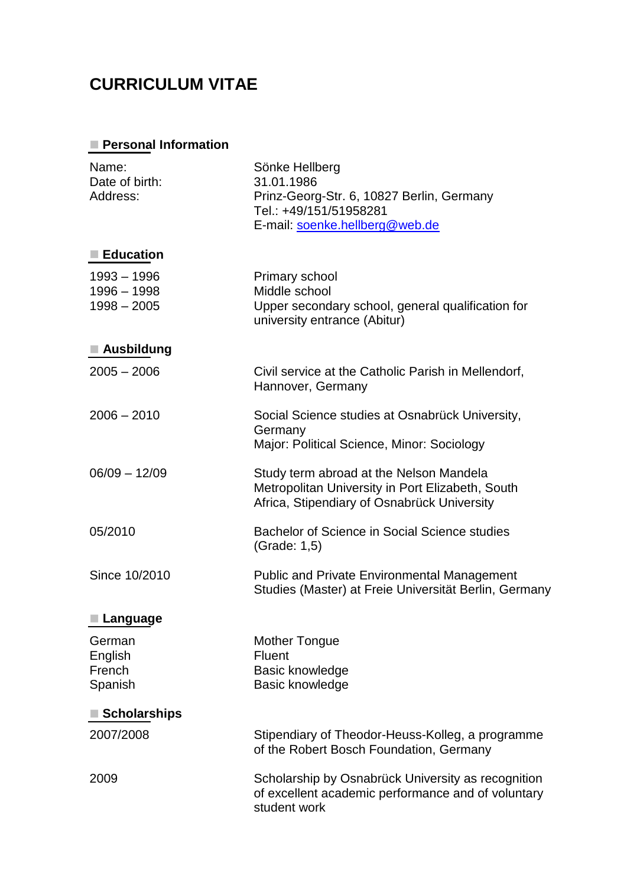## **CURRICULUM VITAE**

## **Personal Information**

| Name:<br>Date of birth:<br>Address:           | Sönke Hellberg<br>31.01.1986<br>Prinz-Georg-Str. 6, 10827 Berlin, Germany<br>Tel.: +49/151/51958281<br>E-mail: soenke.hellberg@web.de      |
|-----------------------------------------------|--------------------------------------------------------------------------------------------------------------------------------------------|
| ■ Education                                   |                                                                                                                                            |
| $1993 - 1996$<br>1996 - 1998<br>$1998 - 2005$ | Primary school<br>Middle school<br>Upper secondary school, general qualification for<br>university entrance (Abitur)                       |
| Ausbildung                                    |                                                                                                                                            |
| $2005 - 2006$                                 | Civil service at the Catholic Parish in Mellendorf,<br>Hannover, Germany                                                                   |
| $2006 - 2010$                                 | Social Science studies at Osnabrück University,<br>Germany<br>Major: Political Science, Minor: Sociology                                   |
| $06/09 - 12/09$                               | Study term abroad at the Nelson Mandela<br>Metropolitan University in Port Elizabeth, South<br>Africa, Stipendiary of Osnabrück University |
| 05/2010                                       | Bachelor of Science in Social Science studies<br>(Grade: 1,5)                                                                              |
| Since 10/2010                                 | <b>Public and Private Environmental Management</b><br>Studies (Master) at Freie Universität Berlin, Germany                                |
| Language                                      |                                                                                                                                            |
| German<br>English<br>French<br>Spanish        | <b>Mother Tongue</b><br>Fluent<br>Basic knowledge<br>Basic knowledge                                                                       |
| Scholarships                                  |                                                                                                                                            |
| 2007/2008                                     | Stipendiary of Theodor-Heuss-Kolleg, a programme<br>of the Robert Bosch Foundation, Germany                                                |
| 2009                                          | Scholarship by Osnabrück University as recognition<br>of excellent academic performance and of voluntary<br>student work                   |